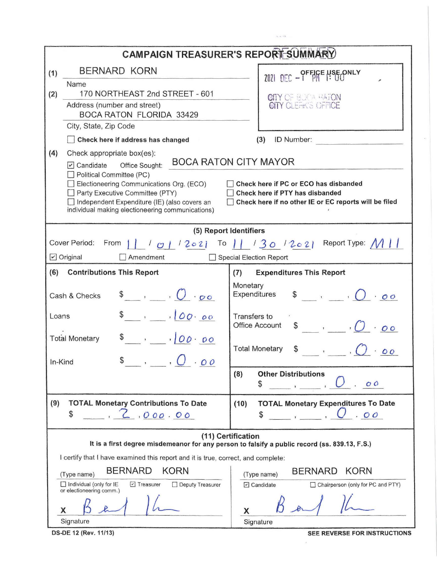| CAMPAIGN TREASURER'S REPORT SUMMARY                                                           |                                                                                                                                                           |                                                                                                                                   |  |  |  |  |  |  |  |
|-----------------------------------------------------------------------------------------------|-----------------------------------------------------------------------------------------------------------------------------------------------------------|-----------------------------------------------------------------------------------------------------------------------------------|--|--|--|--|--|--|--|
| (1)                                                                                           | <b>BERNARD KORN</b>                                                                                                                                       |                                                                                                                                   |  |  |  |  |  |  |  |
|                                                                                               | Name                                                                                                                                                      | 2021 DEC - PFFICE HSE ONLY                                                                                                        |  |  |  |  |  |  |  |
| (2)                                                                                           | 170 NORTHEAST 2nd STREET - 601                                                                                                                            | <b>CITY OF BUCK PATON</b>                                                                                                         |  |  |  |  |  |  |  |
|                                                                                               | Address (number and street)<br><b>BOCA RATON FLORIDA 33429</b>                                                                                            | <b>GITY CLEAKS OFFICE</b>                                                                                                         |  |  |  |  |  |  |  |
|                                                                                               | City, State, Zip Code                                                                                                                                     |                                                                                                                                   |  |  |  |  |  |  |  |
|                                                                                               | Check here if address has changed                                                                                                                         | (3)<br>ID Number:                                                                                                                 |  |  |  |  |  |  |  |
| (4)                                                                                           | Check appropriate box(es):                                                                                                                                |                                                                                                                                   |  |  |  |  |  |  |  |
| Office Sought: BOCA RATON CITY MAYOR<br>$\triangledown$ Candidate                             |                                                                                                                                                           |                                                                                                                                   |  |  |  |  |  |  |  |
|                                                                                               | Political Committee (PC)                                                                                                                                  | Check here if PC or ECO has disbanded                                                                                             |  |  |  |  |  |  |  |
|                                                                                               | Electioneering Communications Org. (ECO)<br>Party Executive Committee (PTY)<br>Check here if PTY has disbanded                                            |                                                                                                                                   |  |  |  |  |  |  |  |
|                                                                                               | Independent Expenditure (IE) (also covers an<br>Check here if no other IE or EC reports will be filed<br>individual making electioneering communications) |                                                                                                                                   |  |  |  |  |  |  |  |
|                                                                                               |                                                                                                                                                           |                                                                                                                                   |  |  |  |  |  |  |  |
| (5) Report Identifiers                                                                        |                                                                                                                                                           |                                                                                                                                   |  |  |  |  |  |  |  |
|                                                                                               | Cover Period:<br>From                                                                                                                                     |                                                                                                                                   |  |  |  |  |  |  |  |
| $\triangleright$ Original<br>Amendment<br>Special Election Report                             |                                                                                                                                                           |                                                                                                                                   |  |  |  |  |  |  |  |
| (6)                                                                                           | <b>Contributions This Report</b>                                                                                                                          | <b>Expenditures This Report</b><br>(7)                                                                                            |  |  |  |  |  |  |  |
| $\begin{array}{cc} \text{S} & , \quad \text{O} \cdot \text{co} \end{array}$<br>Cash & Checks  |                                                                                                                                                           | Monetary<br>$\sqrt[3]{\phantom{0}}$ , $\sqrt[3]{\phantom{0}}$ , $\sqrt[3]{\phantom{0}}$ , $\sqrt[3]{\phantom{0}}$<br>Expenditures |  |  |  |  |  |  |  |
| Loans                                                                                         |                                                                                                                                                           | Transfers to<br>Office Account<br>$\mathsf S$ , $\bigcirc$<br>.00                                                                 |  |  |  |  |  |  |  |
|                                                                                               | $\vert$ , $\vert$ 00.00<br><b>Total Monetary</b>                                                                                                          | <b>Total Monetary</b><br>\$<br>$\cdots$<br>00                                                                                     |  |  |  |  |  |  |  |
| In-Kind                                                                                       | .00                                                                                                                                                       | <b>Other Distributions</b>                                                                                                        |  |  |  |  |  |  |  |
|                                                                                               |                                                                                                                                                           | (8)<br>\$<br>O                                                                                                                    |  |  |  |  |  |  |  |
| (9)                                                                                           | <b>TOTAL Monetary Contributions To Date</b>                                                                                                               | <b>TOTAL Monetary Expenditures To Date</b><br>(10)                                                                                |  |  |  |  |  |  |  |
|                                                                                               | \$<br>2000.00                                                                                                                                             | \$<br>.00<br>$\mathbf{r} = \mathbf{r}$                                                                                            |  |  |  |  |  |  |  |
| (11) Certification                                                                            |                                                                                                                                                           |                                                                                                                                   |  |  |  |  |  |  |  |
| It is a first degree misdemeanor for any person to falsify a public record (ss. 839.13, F.S.) |                                                                                                                                                           |                                                                                                                                   |  |  |  |  |  |  |  |
| I certify that I have examined this report and it is true, correct, and complete:             |                                                                                                                                                           |                                                                                                                                   |  |  |  |  |  |  |  |
|                                                                                               | <b>BERNARD</b><br>KORN<br>(Type name)                                                                                                                     | <b>KORN</b><br><b>BERNARD</b><br>(Type name)                                                                                      |  |  |  |  |  |  |  |
|                                                                                               | $\Box$ Individual (only for IE<br>$\triangleright$ Treasurer<br>Deputy Treasurer<br>or electioneering comm.)                                              | Chairperson (only for PC and PTY)<br>$\Box$ Candidate                                                                             |  |  |  |  |  |  |  |
| x                                                                                             |                                                                                                                                                           | X                                                                                                                                 |  |  |  |  |  |  |  |
|                                                                                               | Signature                                                                                                                                                 | Signature                                                                                                                         |  |  |  |  |  |  |  |

 $\sim$   $\sim$   $^{10}$ 

**DS-DE 12 (Rev. 11/13)** 

SEE REVERSE FOR INSTRUCTIONS